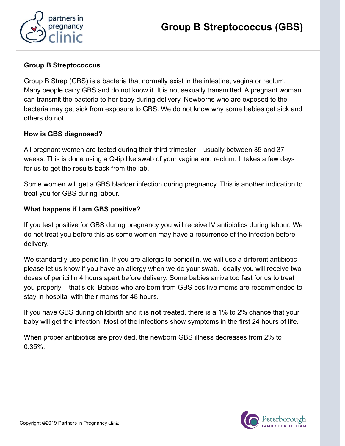

## Group B Streptococcus

Group B Strep (GBS) is a bacteria that normally exist in the intestine, vagina or rectum. Many people carry GBS and do not know it. It is not sexually transmitted. A pregnant woman can transmit the bacteria to her baby during delivery. Newborns who are exposed to the bacteria may get sick from exposure to GBS. We do not know why some babies get sick and others do not.

# How is GBS diagnosed?

All pregnant women are tested during their third trimester – usually between 35 and 37 weeks. This is done using a Q-tip like swab of your vagina and rectum. It takes a few days for us to get the results back from the lab.

Some women will get a GBS bladder infection during pregnancy. This is another indication to treat you for GBS during labour.

## What happens if I am GBS positive?

If you test positive for GBS during pregnancy you will receive IV antibiotics during labour. We do not treat you before this as some women may have a recurrence of the infection before delivery.

We standardly use penicillin. If you are allergic to penicillin, we will use a different antibiotic – please let us know if you have an allergy when we do your swab. Ideally you will receive two doses of penicillin 4 hours apart before delivery. Some babies arrive too fast for us to treat you properly – that's ok! Babies who are born from GBS positive moms are recommended to stay in hospital with their moms for 48 hours.

If you have GBS during childbirth and it is not treated, there is a 1% to 2% chance that your baby will get the infection. Most of the infections show symptoms in the first 24 hours of life.

When proper antibiotics are provided, the newborn GBS illness decreases from 2% to 0.35%.